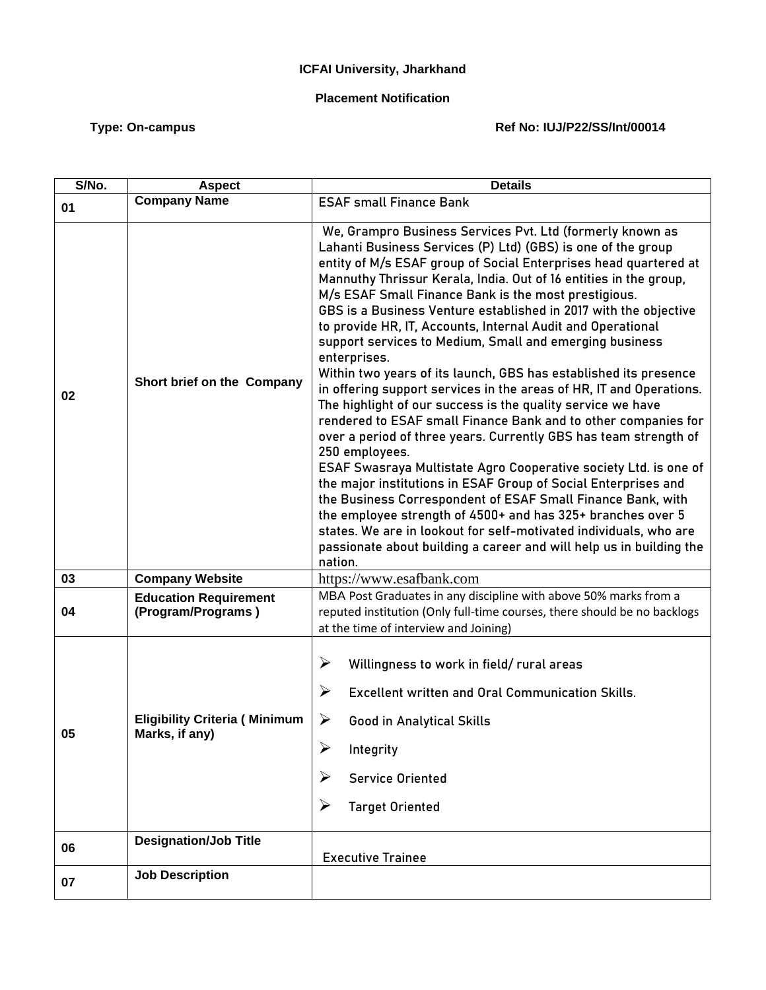## **ICFAI University, Jharkhand**

## **Placement Notification**

## Type: On-campus **Type: On-campus Ref No: IUJ/P22/SS/Int/00014**

| S/No. | <b>Aspect</b>                                          | <b>Details</b>                                                                                                                                                                                                                                                                                                                                                                                                                                                                                                                                                                                                                                                                                                                                                                                                                                                                                                                                                                                                                                                                                                                                                                                                                                                                                                                        |
|-------|--------------------------------------------------------|---------------------------------------------------------------------------------------------------------------------------------------------------------------------------------------------------------------------------------------------------------------------------------------------------------------------------------------------------------------------------------------------------------------------------------------------------------------------------------------------------------------------------------------------------------------------------------------------------------------------------------------------------------------------------------------------------------------------------------------------------------------------------------------------------------------------------------------------------------------------------------------------------------------------------------------------------------------------------------------------------------------------------------------------------------------------------------------------------------------------------------------------------------------------------------------------------------------------------------------------------------------------------------------------------------------------------------------|
| 01    | <b>Company Name</b>                                    | <b>ESAF small Finance Bank</b>                                                                                                                                                                                                                                                                                                                                                                                                                                                                                                                                                                                                                                                                                                                                                                                                                                                                                                                                                                                                                                                                                                                                                                                                                                                                                                        |
| 02    | Short brief on the Company                             | We, Grampro Business Services Pvt. Ltd (formerly known as<br>Lahanti Business Services (P) Ltd) (GBS) is one of the group<br>entity of M/s ESAF group of Social Enterprises head quartered at<br>Mannuthy Thrissur Kerala, India. Out of 16 entities in the group,<br>M/s ESAF Small Finance Bank is the most prestigious.<br>GBS is a Business Venture established in 2017 with the objective<br>to provide HR, IT, Accounts, Internal Audit and Operational<br>support services to Medium, Small and emerging business<br>enterprises.<br>Within two years of its launch, GBS has established its presence<br>in offering support services in the areas of HR, IT and Operations.<br>The highlight of our success is the quality service we have<br>rendered to ESAF small Finance Bank and to other companies for<br>over a period of three years. Currently GBS has team strength of<br>250 employees.<br>ESAF Swasraya Multistate Agro Cooperative society Ltd. is one of<br>the major institutions in ESAF Group of Social Enterprises and<br>the Business Correspondent of ESAF Small Finance Bank, with<br>the employee strength of 4500+ and has 325+ branches over 5<br>states. We are in lookout for self-motivated individuals, who are<br>passionate about building a career and will help us in building the<br>nation. |
| 03    | <b>Company Website</b>                                 | https://www.esafbank.com                                                                                                                                                                                                                                                                                                                                                                                                                                                                                                                                                                                                                                                                                                                                                                                                                                                                                                                                                                                                                                                                                                                                                                                                                                                                                                              |
| 04    | <b>Education Requirement</b><br>(Program/Programs)     | MBA Post Graduates in any discipline with above 50% marks from a<br>reputed institution (Only full-time courses, there should be no backlogs<br>at the time of interview and Joining)                                                                                                                                                                                                                                                                                                                                                                                                                                                                                                                                                                                                                                                                                                                                                                                                                                                                                                                                                                                                                                                                                                                                                 |
| 05    | <b>Eligibility Criteria (Minimum</b><br>Marks, if any) | ➤<br>Willingness to work in field/rural areas<br>➤<br><b>Excellent written and Oral Communication Skills.</b><br>➤<br><b>Good in Analytical Skills</b><br>Integrity<br><b>Service Oriented</b><br><b>Target Oriented</b><br>➤                                                                                                                                                                                                                                                                                                                                                                                                                                                                                                                                                                                                                                                                                                                                                                                                                                                                                                                                                                                                                                                                                                         |
| 06    | <b>Designation/Job Title</b>                           | <b>Executive Trainee</b>                                                                                                                                                                                                                                                                                                                                                                                                                                                                                                                                                                                                                                                                                                                                                                                                                                                                                                                                                                                                                                                                                                                                                                                                                                                                                                              |
| 07    | <b>Job Description</b>                                 |                                                                                                                                                                                                                                                                                                                                                                                                                                                                                                                                                                                                                                                                                                                                                                                                                                                                                                                                                                                                                                                                                                                                                                                                                                                                                                                                       |